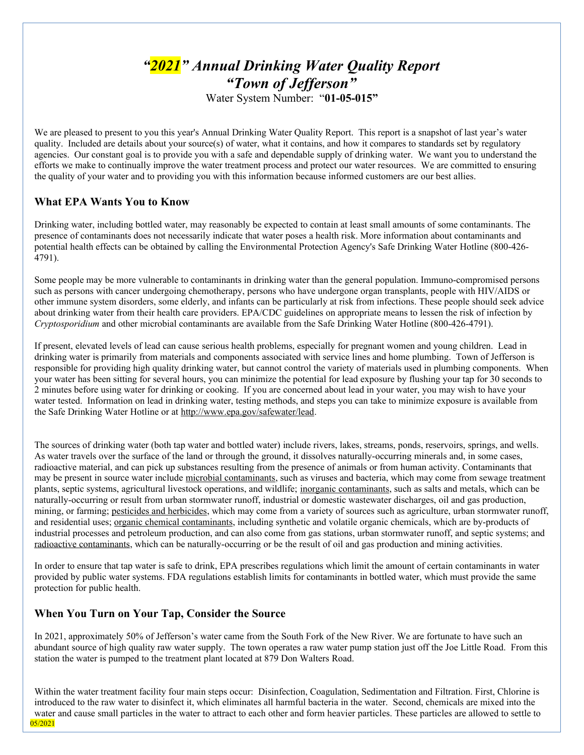# *"2021" Annual Drinking Water Quality Report "Town of Jefferson"* Water System Number: "**01-05-015"**

We are pleased to present to you this year's Annual Drinking Water Quality Report. This report is a snapshot of last year's water quality. Included are details about your source(s) of water, what it contains, and how it compares to standards set by regulatory agencies. Our constant goal is to provide you with a safe and dependable supply of drinking water. We want you to understand the efforts we make to continually improve the water treatment process and protect our water resources. We are committed to ensuring the quality of your water and to providing you with this information because informed customers are our best allies.

# **What EPA Wants You to Know**

Drinking water, including bottled water, may reasonably be expected to contain at least small amounts of some contaminants. The presence of contaminants does not necessarily indicate that water poses a health risk. More information about contaminants and potential health effects can be obtained by calling the Environmental Protection Agency's Safe Drinking Water Hotline (800-426- 4791).

Some people may be more vulnerable to contaminants in drinking water than the general population. Immuno-compromised persons such as persons with cancer undergoing chemotherapy, persons who have undergone organ transplants, people with HIV/AIDS or other immune system disorders, some elderly, and infants can be particularly at risk from infections. These people should seek advice about drinking water from their health care providers. EPA/CDC guidelines on appropriate means to lessen the risk of infection by *Cryptosporidium* and other microbial contaminants are available from the Safe Drinking Water Hotline (800-426-4791).

If present, elevated levels of lead can cause serious health problems, especially for pregnant women and young children. Lead in drinking water is primarily from materials and components associated with service lines and home plumbing. Town of Jefferson is responsible for providing high quality drinking water, but cannot control the variety of materials used in plumbing components. When your water has been sitting for several hours, you can minimize the potential for lead exposure by flushing your tap for 30 seconds to 2 minutes before using water for drinking or cooking. If you are concerned about lead in your water, you may wish to have your water tested. Information on lead in drinking water, testing methods, and steps you can take to minimize exposure is available from the Safe Drinking Water Hotline or at http://www.epa.gov/safewater/lead.

The sources of drinking water (both tap water and bottled water) include rivers, lakes, streams, ponds, reservoirs, springs, and wells. As water travels over the surface of the land or through the ground, it dissolves naturally-occurring minerals and, in some cases, radioactive material, and can pick up substances resulting from the presence of animals or from human activity. Contaminants that may be present in source water include microbial contaminants, such as viruses and bacteria, which may come from sewage treatment plants, septic systems, agricultural livestock operations, and wildlife; inorganic contaminants, such as salts and metals, which can be naturally-occurring or result from urban stormwater runoff, industrial or domestic wastewater discharges, oil and gas production, mining, or farming; pesticides and herbicides, which may come from a variety of sources such as agriculture, urban stormwater runoff, and residential uses; organic chemical contaminants, including synthetic and volatile organic chemicals, which are by-products of industrial processes and petroleum production, and can also come from gas stations, urban stormwater runoff, and septic systems; and radioactive contaminants, which can be naturally-occurring or be the result of oil and gas production and mining activities.

In order to ensure that tap water is safe to drink, EPA prescribes regulations which limit the amount of certain contaminants in water provided by public water systems. FDA regulations establish limits for contaminants in bottled water, which must provide the same protection for public health.

# **When You Turn on Your Tap, Consider the Source**

In 2021, approximately 50% of Jefferson's water came from the South Fork of the New River. We are fortunate to have such an abundant source of high quality raw water supply. The town operates a raw water pump station just off the Joe Little Road. From this station the water is pumped to the treatment plant located at 879 Don Walters Road.

Within the water treatment facility four main steps occur: Disinfection, Coagulation, Sedimentation and Filtration. First, Chlorine is introduced to the raw water to disinfect it, which eliminates all harmful bacteria in the water. Second, chemicals are mixed into the water and cause small particles in the water to attract to each other and form heavier particles. These particles are allowed to settle to 05/2021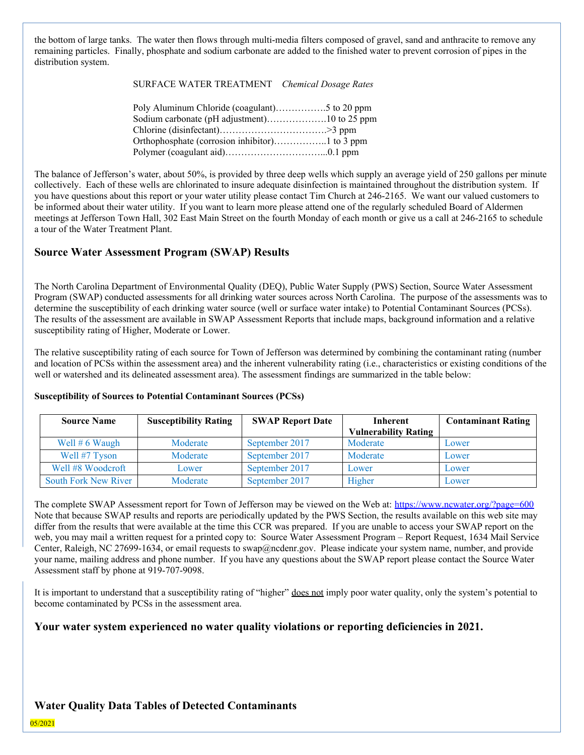the bottom of large tanks. The water then flows through multi-media filters composed of gravel, sand and anthracite to remove any remaining particles. Finally, phosphate and sodium carbonate are added to the finished water to prevent corrosion of pipes in the distribution system.

SURFACE WATER TREATMENT *Chemical Dosage Rates*

| Sodium carbonate (pH adjustment)10 to 25 ppm |  |
|----------------------------------------------|--|
|                                              |  |
|                                              |  |
|                                              |  |

The balance of Jefferson's water, about 50%, is provided by three deep wells which supply an average yield of 250 gallons per minute collectively. Each of these wells are chlorinated to insure adequate disinfection is maintained throughout the distribution system. If you have questions about this report or your water utility please contact Tim Church at 246-2165. We want our valued customers to be informed about their water utility. If you want to learn more please attend one of the regularly scheduled Board of Aldermen meetings at Jefferson Town Hall, 302 East Main Street on the fourth Monday of each month or give us a call at 246-2165 to schedule a tour of the Water Treatment Plant.

### **Source Water Assessment Program (SWAP) Results**

The North Carolina Department of Environmental Quality (DEQ), Public Water Supply (PWS) Section, Source Water Assessment Program (SWAP) conducted assessments for all drinking water sources across North Carolina. The purpose of the assessments was to determine the susceptibility of each drinking water source (well or surface water intake) to Potential Contaminant Sources (PCSs). The results of the assessment are available in SWAP Assessment Reports that include maps, background information and a relative susceptibility rating of Higher, Moderate or Lower.

The relative susceptibility rating of each source for Town of Jefferson was determined by combining the contaminant rating (number and location of PCSs within the assessment area) and the inherent vulnerability rating (i.e., characteristics or existing conditions of the well or watershed and its delineated assessment area). The assessment findings are summarized in the table below:

| <b>Susceptibility Rating</b><br><b>Source Name</b> |          | <b>SWAP Report Date</b> | Inherent<br><b>Vulnerability Rating</b> | <b>Contaminant Rating</b> |  |
|----------------------------------------------------|----------|-------------------------|-----------------------------------------|---------------------------|--|
| Well $# 6$ Waugh                                   | Moderate | September 2017          | Moderate                                | Lower                     |  |
| Well #7 Tyson                                      | Moderate | September 2017          | Moderate                                | Lower                     |  |
| Well #8 Woodcroft                                  | Lower    | September 2017          | Lower                                   | Lower                     |  |
| <b>South Fork New River</b>                        | Moderate | September 2017          | Higher                                  | Lower                     |  |

#### **Susceptibility of Sources to Potential Contaminant Sources (PCSs)**

The complete SWAP Assessment report for Town of Jefferson may be viewed on the Web at: https://www.ncwater.org/?page=600 Note that because SWAP results and reports are periodically updated by the PWS Section, the results available on this web site may differ from the results that were available at the time this CCR was prepared. If you are unable to access your SWAP report on the web, you may mail a written request for a printed copy to: Source Water Assessment Program – Report Request, 1634 Mail Service Center, Raleigh, NC 27699-1634, or email requests to swap@ncdenr.gov. Please indicate your system name, number, and provide your name, mailing address and phone number. If you have any questions about the SWAP report please contact the Source Water Assessment staff by phone at 919-707-9098.

It is important to understand that a susceptibility rating of "higher" does not imply poor water quality, only the system's potential to become contaminated by PCSs in the assessment area.

# **Your water system experienced no water quality violations or reporting deficiencies in 2021.**

# **Water Quality Data Tables of Detected Contaminants**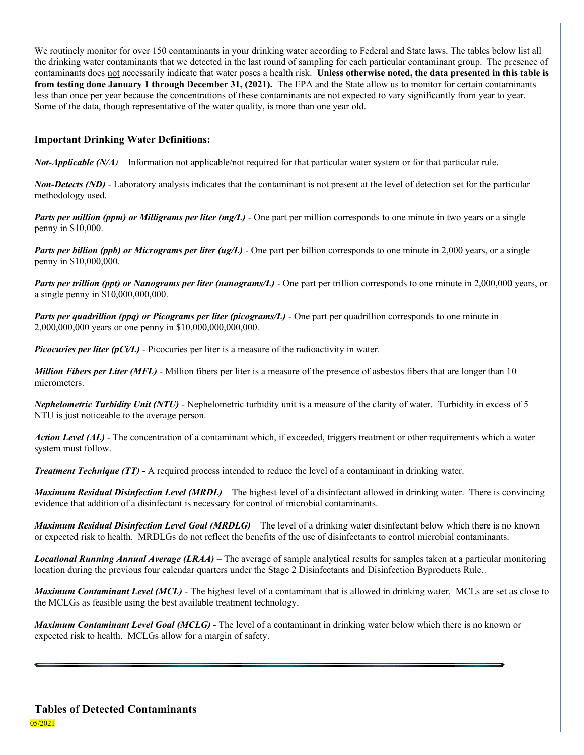We routinely monitor for over 150 contaminants in your drinking water according to Federal and State laws. The tables below list all the drinking water contaminants that we detected in the last round of sampling for each particular contaminant group. The presence of contaminants does not necessarily indicate that water poses a health risk. **Unless otherwise noted, the data presented in this table is from testing done January 1 through December 31, (2021).** The EPA and the State allow us to monitor for certain contaminants less than once per year because the concentrations of these contaminants are not expected to vary significantly from year to year. Some of the data, though representative of the water quality, is more than one year old.

### **Important Drinking Water Definitions:**

*Not-Applicable (N/A*) – Information not applicable/not required for that particular water system or for that particular rule.

*Non-Detects (ND)* - Laboratory analysis indicates that the contaminant is not present at the level of detection set for the particular methodology used.

*Parts per million (ppm) or Milligrams per liter (mg/L)* - One part per million corresponds to one minute in two years or a single penny in \$10,000.

*Parts per billion (ppb) or Micrograms per liter (ug/L)* - One part per billion corresponds to one minute in 2,000 years, or a single penny in \$10,000,000.

*Parts per trillion (ppt) or Nanograms per liter (nanograms/L)* - One part per trillion corresponds to one minute in 2,000,000 years, or a single penny in \$10,000,000,000.

*Parts per quadrillion (ppq) or Picograms per liter (picograms/L)* - One part per quadrillion corresponds to one minute in 2,000,000,000 years or one penny in \$10,000,000,000,000.

*Picocuries per liter (pCi/L)* - Picocuries per liter is a measure of the radioactivity in water.

*Million Fibers per Liter (MFL)* - Million fibers per liter is a measure of the presence of asbestos fibers that are longer than 10 micrometers.

*Nephelometric Turbidity Unit (NTU)* - Nephelometric turbidity unit is a measure of the clarity of water. Turbidity in excess of 5 NTU is just noticeable to the average person.

*Action Level (AL) -* The concentration of a contaminant which, if exceeded, triggers treatment or other requirements which a water system must follow.

*Treatment Technique (TT)* **-** A required process intended to reduce the level of a contaminant in drinking water.

*Maximum Residual Disinfection Level (MRDL)* – The highest level of a disinfectant allowed in drinking water. There is convincing evidence that addition of a disinfectant is necessary for control of microbial contaminants.

*Maximum Residual Disinfection Level Goal (MRDLG)* – The level of a drinking water disinfectant below which there is no known or expected risk to health. MRDLGs do not reflect the benefits of the use of disinfectants to control microbial contaminants.

*Locational Running Annual Average (LRAA)* – The average of sample analytical results for samples taken at a particular monitoring location during the previous four calendar quarters under the Stage 2 Disinfectants and Disinfection Byproducts Rule..

*Maximum Contaminant Level (MCL)* - The highest level of a contaminant that is allowed in drinking water. MCLs are set as close to the MCLGs as feasible using the best available treatment technology.

*Maximum Contaminant Level Goal (MCLG)* - The level of a contaminant in drinking water below which there is no known or expected risk to health. MCLGs allow for a margin of safety.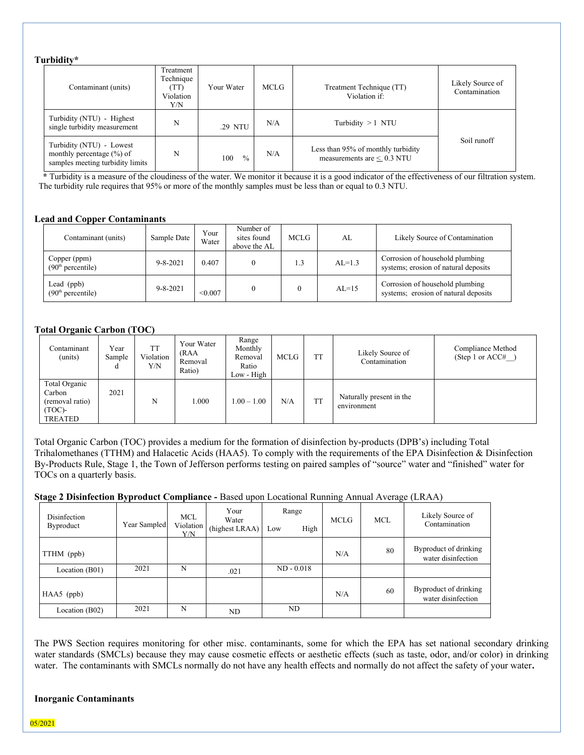#### **Turbidity\***

| Contaminant (units)                                                                           | Treatment<br>Technique<br>TT)<br>Violation<br>Y/N | Your Water  | MCLG | Treatment Technique (TT)<br>Violation if:                             | Likely Source of<br>Contamination |
|-----------------------------------------------------------------------------------------------|---------------------------------------------------|-------------|------|-----------------------------------------------------------------------|-----------------------------------|
| Turbidity (NTU) - Highest<br>single turbidity measurement                                     | N                                                 | .29 NTU     | N/A  | Turbidity $>1$ NTU                                                    |                                   |
| Turbidity (NTU) - Lowest<br>monthly percentage $(\% )$ of<br>samples meeting turbidity limits | N                                                 | $\%$<br>100 | N/A  | Less than 95% of monthly turbidity<br>measurements are $\leq 0.3$ NTU | Soil runoff                       |

 **\*** Turbidity is a measure of the cloudiness of the water. We monitor it because it is a good indicator of the effectiveness of our filtration system. The turbidity rule requires that 95% or more of the monthly samples must be less than or equal to 0.3 NTU.

#### **Lead and Copper Contaminants**

| Contaminant (units)                           | Sample Date    | Your<br>Water | Number of<br>sites found<br>above the AL | MCLG. | AL       | Likely Source of Contamination                                          |
|-----------------------------------------------|----------------|---------------|------------------------------------------|-------|----------|-------------------------------------------------------------------------|
| Copper (ppm)<br>(90 <sup>th</sup> percentile) | $9 - 8 - 2021$ | 0.407         |                                          | 1.3   | $AL=1.3$ | Corrosion of household plumbing<br>systems; erosion of natural deposits |
| Lead (ppb)<br>(90 <sup>th</sup> percentile)   | $9 - 8 - 2021$ | < 0.007       |                                          |       | $AL=15$  | Corrosion of household plumbing<br>systems; erosion of natural deposits |

#### **Total Organic Carbon (TOC)**

| Contaminant<br>(units)                                             | Year<br>Sample<br>α | <b>TT</b><br>Violation<br>Y/N | Your Water<br>(RAA<br>Removal<br>Ratio) | Range<br>Monthly<br>Removal<br>Ratio<br>Low - High | MCLG | <b>TT</b> | Likely Source of<br>Contamination       | Compliance Method<br>(Step 1 or $ACC#$ ) |
|--------------------------------------------------------------------|---------------------|-------------------------------|-----------------------------------------|----------------------------------------------------|------|-----------|-----------------------------------------|------------------------------------------|
| Total Organic<br>Carbon<br>(removal ratio)<br>$(TOC)$ -<br>TREATED | 2021                | N                             | 1.000                                   | $1.00 - 1.00$                                      | N/A  | <b>TT</b> | Naturally present in the<br>environment |                                          |

Total Organic Carbon (TOC) provides a medium for the formation of disinfection by-products (DPB's) including Total Trihalomethanes (TTHM) and Halacetic Acids (HAA5). To comply with the requirements of the EPA Disinfection & Disinfection By-Products Rule, Stage 1, the Town of Jefferson performs testing on paired samples of "source" water and "finished" water for TOCs on a quarterly basis.

#### **Stage 2 Disinfection Byproduct Compliance -** Based upon Locational Running Annual Average (LRAA)

| Disinfection<br>Byproduct | Year Sampled | MCL.<br>Violation  <br>Y/N | Your<br>Water<br>(highest LRAA) | Range<br>High<br>Low | <b>MCLG</b> | <b>MCL</b> | Likely Source of<br>Contamination           |
|---------------------------|--------------|----------------------------|---------------------------------|----------------------|-------------|------------|---------------------------------------------|
| TTHM (ppb)                |              |                            |                                 |                      | N/A         | 80         | Byproduct of drinking<br>water disinfection |
| Location (B01)            | 2021         | N                          | .021                            | $ND - 0.018$         |             |            |                                             |
| $HAA5$ (ppb)              |              |                            |                                 |                      | N/A         | 60         | Byproduct of drinking<br>water disinfection |
| Location (B02)            | 2021         | N                          | ND                              | ND                   |             |            |                                             |

The PWS Section requires monitoring for other misc. contaminants, some for which the EPA has set national secondary drinking water standards (SMCLs) because they may cause cosmetic effects or aesthetic effects (such as taste, odor, and/or color) in drinking water. The contaminants with SMCLs normally do not have any health effects and normally do not affect the safety of your water**.**

#### **Inorganic Contaminants**